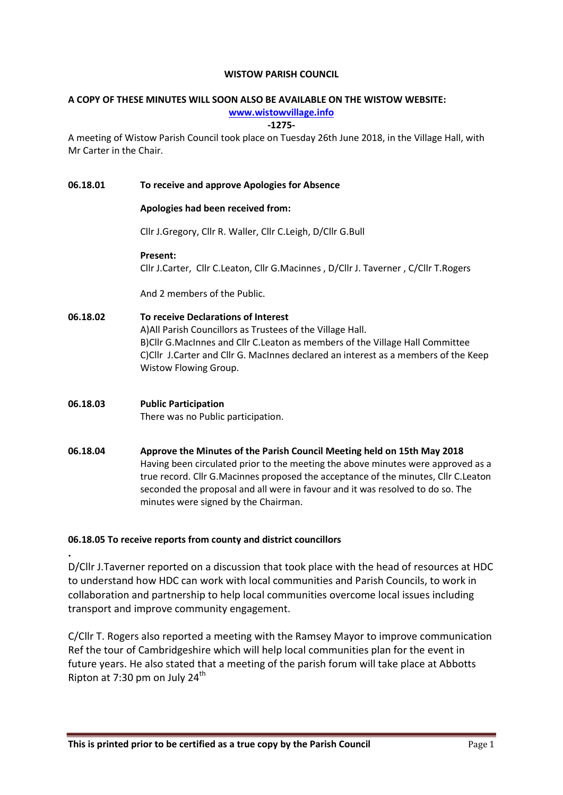#### WISTOW PARISH COUNCIL

# A COPY OF THESE MINUTES WILL SOON ALSO BE AVAILABLE ON THE WISTOW WEBSITE:

## www.wistowvillage.info

#### -1275-

A meeting of Wistow Parish Council took place on Tuesday 26th June 2018, in the Village Hall, with Mr Carter in the Chair.

#### 06.18.01 To receive and approve Apologies for Absence

#### Apologies had been received from:

Cllr J.Gregory, Cllr R. Waller, Cllr C.Leigh, D/Cllr G.Bull

#### Present:

Cllr J.Carter, Cllr C.Leaton, Cllr G.Macinnes , D/Cllr J. Taverner , C/Cllr T.Rogers

And 2 members of the Public.

## 06.18.02 To receive Declarations of Interest

A)All Parish Councillors as Trustees of the Village Hall. B)Cllr G.MacInnes and Cllr C.Leaton as members of the Village Hall Committee C)Cllr J.Carter and Cllr G. MacInnes declared an interest as a members of the Keep Wistow Flowing Group.

## 06.18.03 Public Participation There was no Public participation.

.

06.18.04 Approve the Minutes of the Parish Council Meeting held on 15th May 2018 Having been circulated prior to the meeting the above minutes were approved as a true record. Cllr G.Macinnes proposed the acceptance of the minutes, Cllr C.Leaton seconded the proposal and all were in favour and it was resolved to do so. The minutes were signed by the Chairman.

## 06.18.05 To receive reports from county and district councillors

D/Cllr J.Taverner reported on a discussion that took place with the head of resources at HDC to understand how HDC can work with local communities and Parish Councils, to work in collaboration and partnership to help local communities overcome local issues including transport and improve community engagement.

C/Cllr T. Rogers also reported a meeting with the Ramsey Mayor to improve communication Ref the tour of Cambridgeshire which will help local communities plan for the event in future years. He also stated that a meeting of the parish forum will take place at Abbotts Ripton at 7:30 pm on July  $24^{\text{th}}$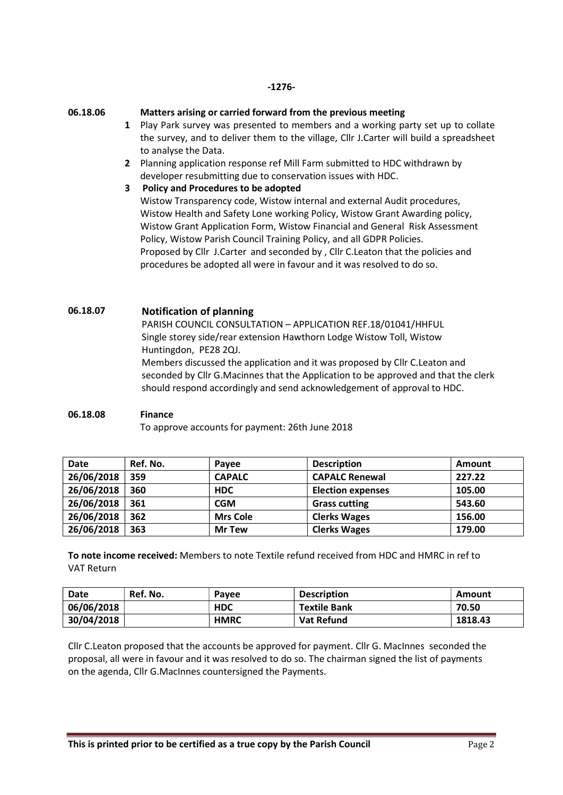#### 06.18.06 Matters arising or carried forward from the previous meeting

- 1 Play Park survey was presented to members and a working party set up to collate the survey, and to deliver them to the village, Cllr J.Carter will build a spreadsheet to analyse the Data.
- 2 Planning application response ref Mill Farm submitted to HDC withdrawn by developer resubmitting due to conservation issues with HDC.
- 3 Policy and Procedures to be adopted

Wistow Transparency code, Wistow internal and external Audit procedures, Wistow Health and Safety Lone working Policy, Wistow Grant Awarding policy, Wistow Grant Application Form, Wistow Financial and General Risk Assessment Policy, Wistow Parish Council Training Policy, and all GDPR Policies. Proposed by Cllr J.Carter and seconded by , Cllr C.Leaton that the policies and procedures be adopted all were in favour and it was resolved to do so.

06.18.07 Notification of planning PARISH COUNCIL CONSULTATION – APPLICATION REF.18/01041/HHFUL Single storey side/rear extension Hawthorn Lodge Wistow Toll, Wistow Huntingdon, PE28 2QJ. Members discussed the application and it was proposed by Cllr C.Leaton and seconded by Cllr G.Macinnes that the Application to be approved and that the clerk should respond accordingly and send acknowledgement of approval to HDC.

06.18.08 Finance To approve accounts for payment: 26th June 2018

| <b>Date</b> | Ref. No. | Pavee           | <b>Description</b>       | Amount |
|-------------|----------|-----------------|--------------------------|--------|
| 26/06/2018  | 359      | <b>CAPALC</b>   | <b>CAPALC Renewal</b>    | 227.22 |
| 26/06/2018  | 360      | <b>HDC</b>      | <b>Election expenses</b> | 105.00 |
| 26/06/2018  | 361      | CGM             | <b>Grass cutting</b>     | 543.60 |
| 26/06/2018  | 362      | <b>Mrs Cole</b> | <b>Clerks Wages</b>      | 156.00 |
| 26/06/2018  | 363      | <b>Mr Tew</b>   | <b>Clerks Wages</b>      | 179.00 |

To note income received: Members to note Textile refund received from HDC and HMRC in ref to VAT Return

| Date       | Ref. No. | Pavee       | <b>Description</b>  | Amount  |
|------------|----------|-------------|---------------------|---------|
| 06/06/2018 |          | <b>HDC</b>  | <b>Textile Bank</b> | 70.50   |
| 30/04/2018 |          | <b>HMRC</b> | Vat Refund          | 1818.43 |

Cllr C.Leaton proposed that the accounts be approved for payment. Cllr G. MacInnes seconded the proposal, all were in favour and it was resolved to do so. The chairman signed the list of payments on the agenda, Cllr G.MacInnes countersigned the Payments.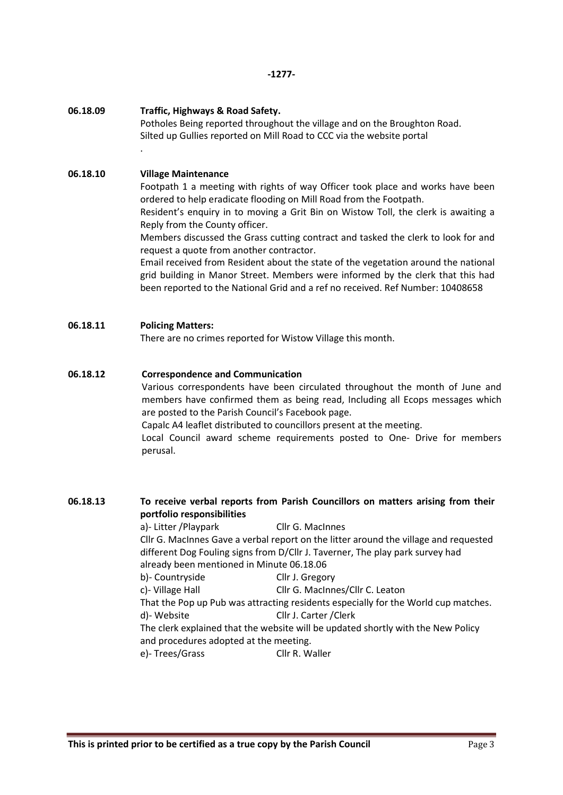#### 06.18.09 Traffic, Highways & Road Safety.

Potholes Being reported throughout the village and on the Broughton Road. Silted up Gullies reported on Mill Road to CCC via the website portal

## 06.18.10 Village Maintenance

.

Footpath 1 a meeting with rights of way Officer took place and works have been ordered to help eradicate flooding on Mill Road from the Footpath.

Resident's enquiry in to moving a Grit Bin on Wistow Toll, the clerk is awaiting a Reply from the County officer.

Members discussed the Grass cutting contract and tasked the clerk to look for and request a quote from another contractor.

Email received from Resident about the state of the vegetation around the national grid building in Manor Street. Members were informed by the clerk that this had been reported to the National Grid and a ref no received. Ref Number: 10408658

## 06.18.11 Policing Matters:

There are no crimes reported for Wistow Village this month.

## 06.18.12 Correspondence and Communication

Various correspondents have been circulated throughout the month of June and members have confirmed them as being read, Including all Ecops messages which are posted to the Parish Council's Facebook page.

Capalc A4 leaflet distributed to councillors present at the meeting.

Local Council award scheme requirements posted to One- Drive for members perusal.

## 06.18.13 To receive verbal reports from Parish Councillors on matters arising from their portfolio responsibilities

a)- Litter /Playpark Cllr G. MacInnes Cllr G. MacInnes Gave a verbal report on the litter around the village and requested different Dog Fouling signs from D/Cllr J. Taverner, The play park survey had already been mentioned in Minute 06.18.06 b)- Countryside Cllr J. Gregory c)- Village Hall Cllr G. MacInnes/Cllr C. Leaton That the Pop up Pub was attracting residents especially for the World cup matches. d)- Website Cllr J. Carter /Clerk The clerk explained that the website will be updated shortly with the New Policy and procedures adopted at the meeting. e)-Trees/Grass Cllr R. Waller